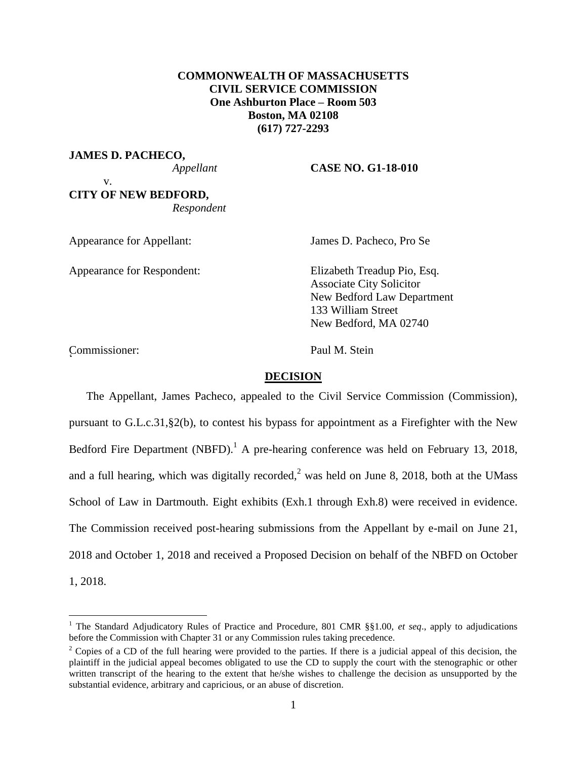# **COMMONWEALTH OF MASSACHUSETTS CIVIL SERVICE COMMISSION One Ashburton Place – Room 503 Boston, MA 02108 (617) 727-2293**

**JAMES D. PACHECO,**

### *Appellant* **CASE NO. G1-18-010**

v. **CITY OF NEW BEDFORD,** *Respondent*

Appearance for Appellant: James D. Pacheco, Pro Se

Appearance for Respondent: Elizabeth Treadup Pio, Esq.

Associate City Solicitor New Bedford Law Department 133 William Street New Bedford, MA 02740

Commissioner: Paul M. Stein <sup>2</sup>

 $\overline{a}$ 

### **DECISION**

The Appellant, James Pacheco, appealed to the Civil Service Commission (Commission), pursuant to G.L.c.31,§2(b), to contest his bypass for appointment as a Firefighter with the New Bedford Fire Department (NBFD).<sup>1</sup> A pre-hearing conference was held on February 13, 2018, and a full hearing, which was digitally recorded,<sup>2</sup> was held on June 8, 2018, both at the UMass School of Law in Dartmouth. Eight exhibits (Exh.1 through Exh.8) were received in evidence. The Commission received post-hearing submissions from the Appellant by e-mail on June 21, 2018 and October 1, 2018 and received a Proposed Decision on behalf of the NBFD on October 1, 2018.

<sup>1</sup> The Standard Adjudicatory Rules of Practice and Procedure, 801 CMR §§1.00, *et seq*., apply to adjudications before the Commission with Chapter 31 or any Commission rules taking precedence.

<sup>&</sup>lt;sup>2</sup> Copies of a CD of the full hearing were provided to the parties. If there is a judicial appeal of this decision, the plaintiff in the judicial appeal becomes obligated to use the CD to supply the court with the stenographic or other written transcript of the hearing to the extent that he/she wishes to challenge the decision as unsupported by the substantial evidence, arbitrary and capricious, or an abuse of discretion.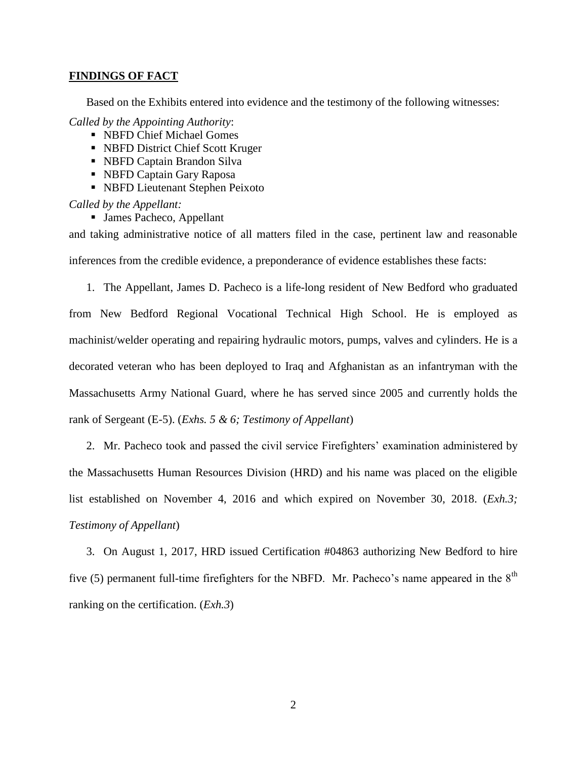#### **FINDINGS OF FACT**

Based on the Exhibits entered into evidence and the testimony of the following witnesses:

*Called by the Appointing Authority*:

- NBFD Chief Michael Gomes
- NBFD District Chief Scott Kruger
- NBFD Captain Brandon Silva
- NBFD Captain Gary Raposa
- NBFD Lieutenant Stephen Peixoto

*Called by the Appellant:*

■ James Pacheco, Appellant

and taking administrative notice of all matters filed in the case, pertinent law and reasonable inferences from the credible evidence, a preponderance of evidence establishes these facts:

1. The Appellant, James D. Pacheco is a life-long resident of New Bedford who graduated from New Bedford Regional Vocational Technical High School. He is employed as machinist/welder operating and repairing hydraulic motors, pumps, valves and cylinders. He is a decorated veteran who has been deployed to Iraq and Afghanistan as an infantryman with the Massachusetts Army National Guard, where he has served since 2005 and currently holds the rank of Sergeant (E-5). (*Exhs. 5 & 6; Testimony of Appellant*)

2. Mr. Pacheco took and passed the civil service Firefighters' examination administered by the Massachusetts Human Resources Division (HRD) and his name was placed on the eligible list established on November 4, 2016 and which expired on November 30, 2018. (*Exh.3; Testimony of Appellant*)

3. On August 1, 2017, HRD issued Certification #04863 authorizing New Bedford to hire five (5) permanent full-time firefighters for the NBFD. Mr. Pacheco's name appeared in the  $8<sup>th</sup>$ ranking on the certification. (*Exh.3*)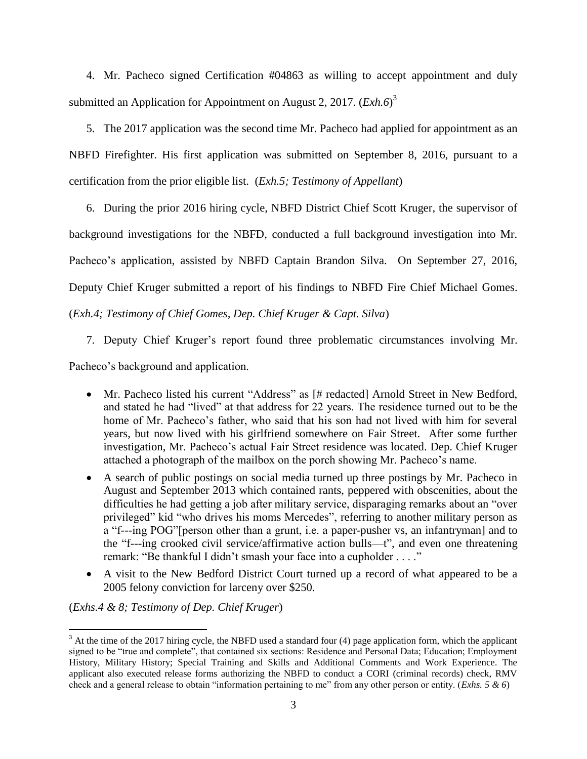4. Mr. Pacheco signed Certification #04863 as willing to accept appointment and duly submitted an Application for Appointment on August 2, 2017. (*Exh.6*)<sup>3</sup>

5. The 2017 application was the second time Mr. Pacheco had applied for appointment as an NBFD Firefighter. His first application was submitted on September 8, 2016, pursuant to a certification from the prior eligible list. (*Exh.5; Testimony of Appellant*)

6. During the prior 2016 hiring cycle, NBFD District Chief Scott Kruger, the supervisor of background investigations for the NBFD, conducted a full background investigation into Mr. Pacheco's application, assisted by NBFD Captain Brandon Silva. On September 27, 2016, Deputy Chief Kruger submitted a report of his findings to NBFD Fire Chief Michael Gomes. (*Exh.4; Testimony of Chief Gomes, Dep. Chief Kruger & Capt. Silva*)

7. Deputy Chief Kruger's report found three problematic circumstances involving Mr.

Pacheco's background and application.

- Mr. Pacheco listed his current "Address" as [# redacted] Arnold Street in New Bedford, and stated he had "lived" at that address for 22 years. The residence turned out to be the home of Mr. Pacheco's father, who said that his son had not lived with him for several years, but now lived with his girlfriend somewhere on Fair Street. After some further investigation, Mr. Pacheco's actual Fair Street residence was located. Dep. Chief Kruger attached a photograph of the mailbox on the porch showing Mr. Pacheco's name.
- A search of public postings on social media turned up three postings by Mr. Pacheco in August and September 2013 which contained rants, peppered with obscenities, about the difficulties he had getting a job after military service, disparaging remarks about an "over privileged" kid "who drives his moms Mercedes", referring to another military person as a "f---ing POG"[person other than a grunt, i.e. a paper-pusher vs, an infantryman] and to the "f---ing crooked civil service/affirmative action bulls—t", and even one threatening remark: "Be thankful I didn't smash your face into a cupholder . . . ."
- A visit to the New Bedford District Court turned up a record of what appeared to be a 2005 felony conviction for larceny over \$250.

(*Exhs.4 & 8; Testimony of Dep. Chief Kruger*)

 $\overline{a}$ 

 $3$  At the time of the 2017 hiring cycle, the NBFD used a standard four (4) page application form, which the applicant signed to be "true and complete", that contained six sections: Residence and Personal Data; Education; Employment History, Military History; Special Training and Skills and Additional Comments and Work Experience. The applicant also executed release forms authorizing the NBFD to conduct a CORI (criminal records) check, RMV check and a general release to obtain "information pertaining to me" from any other person or entity. (*Exhs. 5 & 6*)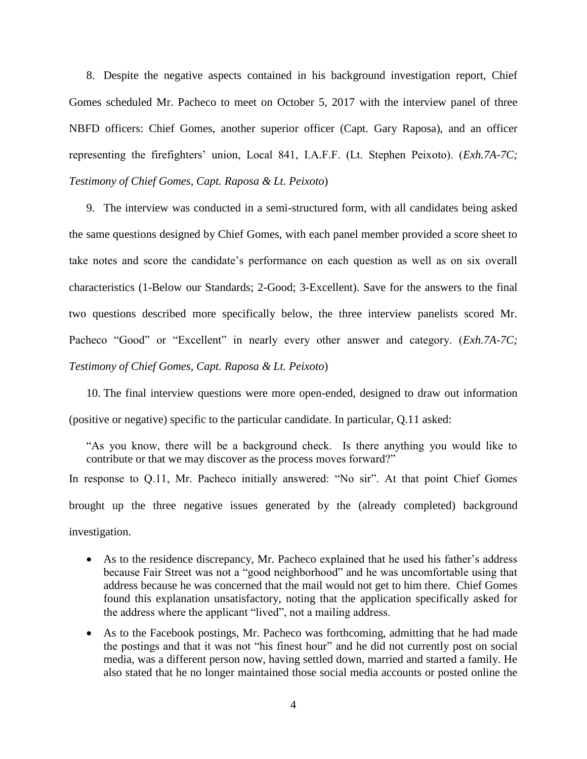8. Despite the negative aspects contained in his background investigation report, Chief Gomes scheduled Mr. Pacheco to meet on October 5, 2017 with the interview panel of three NBFD officers: Chief Gomes, another superior officer (Capt. Gary Raposa), and an officer representing the firefighters' union, Local 841, I.A.F.F. (Lt. Stephen Peixoto). (*Exh.7A-7C; Testimony of Chief Gomes, Capt. Raposa & Lt. Peixoto*)

9. The interview was conducted in a semi-structured form, with all candidates being asked the same questions designed by Chief Gomes, with each panel member provided a score sheet to take notes and score the candidate's performance on each question as well as on six overall characteristics (1-Below our Standards; 2-Good; 3-Excellent). Save for the answers to the final two questions described more specifically below, the three interview panelists scored Mr. Pacheco "Good" or "Excellent" in nearly every other answer and category. (*Exh.7A-7C; Testimony of Chief Gomes, Capt. Raposa & Lt. Peixoto*)

10. The final interview questions were more open-ended, designed to draw out information (positive or negative) specific to the particular candidate. In particular, Q.11 asked:

"As you know, there will be a background check. Is there anything you would like to contribute or that we may discover as the process moves forward?"

In response to Q.11, Mr. Pacheco initially answered: "No sir". At that point Chief Gomes brought up the three negative issues generated by the (already completed) background investigation.

- As to the residence discrepancy, Mr. Pacheco explained that he used his father's address because Fair Street was not a "good neighborhood" and he was uncomfortable using that address because he was concerned that the mail would not get to him there. Chief Gomes found this explanation unsatisfactory, noting that the application specifically asked for the address where the applicant "lived", not a mailing address.
- As to the Facebook postings, Mr. Pacheco was forthcoming, admitting that he had made the postings and that it was not "his finest hour" and he did not currently post on social media, was a different person now, having settled down, married and started a family. He also stated that he no longer maintained those social media accounts or posted online the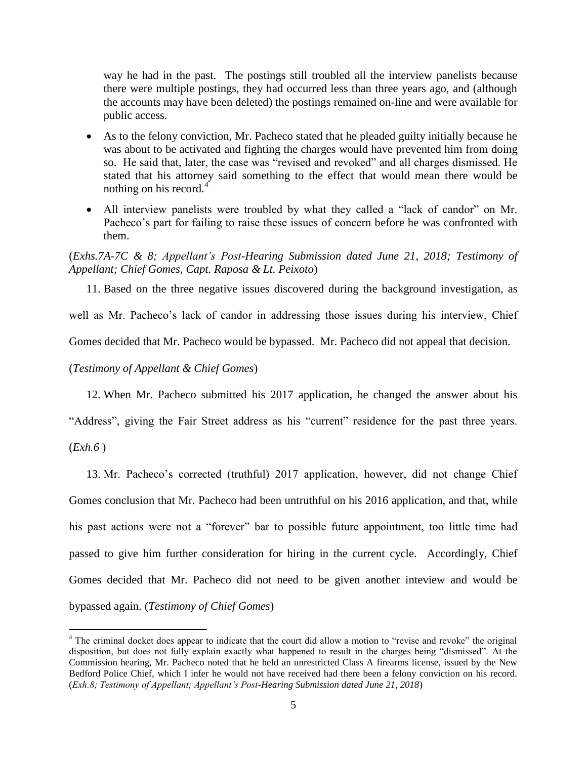way he had in the past. The postings still troubled all the interview panelists because there were multiple postings, they had occurred less than three years ago, and (although the accounts may have been deleted) the postings remained on-line and were available for public access.

- As to the felony conviction, Mr. Pacheco stated that he pleaded guilty initially because he was about to be activated and fighting the charges would have prevented him from doing so. He said that, later, the case was "revised and revoked" and all charges dismissed. He stated that his attorney said something to the effect that would mean there would be nothing on his record. $4$
- All interview panelists were troubled by what they called a "lack of candor" on Mr. Pacheco's part for failing to raise these issues of concern before he was confronted with them.

## (*Exhs.7A-7C & 8; Appellant's Post-Hearing Submission dated June 21, 2018; Testimony of Appellant; Chief Gomes, Capt. Raposa & Lt. Peixoto*)

11. Based on the three negative issues discovered during the background investigation, as

well as Mr. Pacheco's lack of candor in addressing those issues during his interview, Chief

Gomes decided that Mr. Pacheco would be bypassed. Mr. Pacheco did not appeal that decision.

(*Testimony of Appellant & Chief Gomes*)

12. When Mr. Pacheco submitted his 2017 application, he changed the answer about his

"Address", giving the Fair Street address as his "current" residence for the past three years.

(*Exh.6* )

 $\overline{a}$ 

13. Mr. Pacheco's corrected (truthful) 2017 application, however, did not change Chief Gomes conclusion that Mr. Pacheco had been untruthful on his 2016 application, and that, while his past actions were not a "forever" bar to possible future appointment, too little time had passed to give him further consideration for hiring in the current cycle. Accordingly, Chief Gomes decided that Mr. Pacheco did not need to be given another inteview and would be bypassed again. (*Testimony of Chief Gomes*)

<sup>&</sup>lt;sup>4</sup> The criminal docket does appear to indicate that the court did allow a motion to "revise and revoke" the original disposition, but does not fully explain exactly what happened to result in the charges being "dismissed". At the Commission hearing, Mr. Pacheco noted that he held an unrestricted Class A firearms license, issued by the New Bedford Police Chief, which I infer he would not have received had there been a felony conviction on his record. (*Exh.8; Testimony of Appellant; Appellant's Post-Hearing Submission dated June 21, 2018*)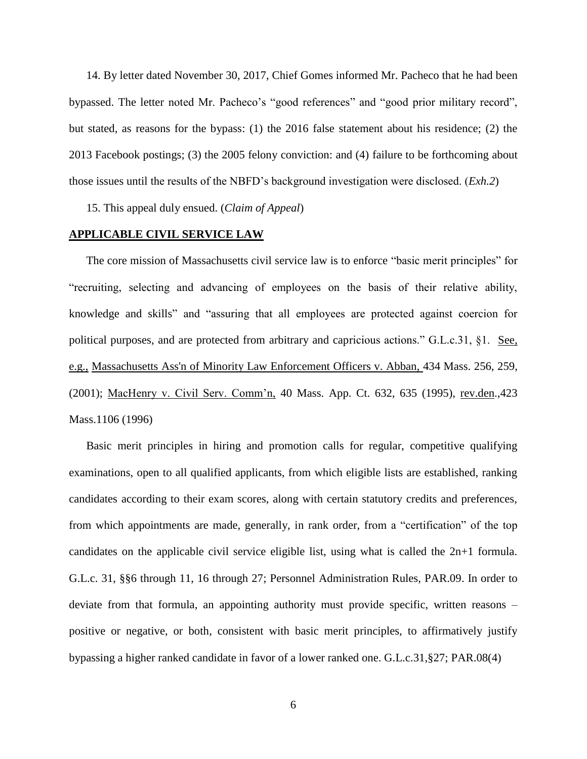14. By letter dated November 30, 2017, Chief Gomes informed Mr. Pacheco that he had been bypassed. The letter noted Mr. Pacheco's "good references" and "good prior military record", but stated, as reasons for the bypass: (1) the 2016 false statement about his residence; (2) the 2013 Facebook postings; (3) the 2005 felony conviction: and (4) failure to be forthcoming about those issues until the results of the NBFD's background investigation were disclosed. (*Exh.2*)

15. This appeal duly ensued. (*Claim of Appeal*)

#### **APPLICABLE CIVIL SERVICE LAW**

The core mission of Massachusetts civil service law is to enforce "basic merit principles" for "recruiting, selecting and advancing of employees on the basis of their relative ability, knowledge and skills" and "assuring that all employees are protected against coercion for political purposes, and are protected from arbitrary and capricious actions." G.L.c.31, §1. See, e.g., [Massachusetts Ass'n of Minority Law Enforcement Officers v. Abban,](http://web2.westlaw.com/find/default.wl?mt=Massachusetts&db=578&rs=WLW15.04&tc=-1&rp=%2ffind%2fdefault.wl&findtype=Y&ordoc=2029136022&serialnum=2001441097&vr=2.0&fn=_top&sv=Split&tf=-1&pbc=70F732C1&utid=1) 434 Mass. 256, 259, [\(2001\);](http://web2.westlaw.com/find/default.wl?mt=Massachusetts&db=578&rs=WLW15.04&tc=-1&rp=%2ffind%2fdefault.wl&findtype=Y&ordoc=2029136022&serialnum=2001441097&vr=2.0&fn=_top&sv=Split&tf=-1&pbc=70F732C1&utid=1) MacHenry v. Civil Serv. Comm'n, 40 Mass. App. Ct. 632, 635 (1995), rev.den.,423 Mass.1106 (1996)

Basic merit principles in hiring and promotion calls for regular, competitive qualifying examinations, open to all qualified applicants, from which eligible lists are established, ranking candidates according to their exam scores, along with certain statutory credits and preferences, from which appointments are made, generally, in rank order, from a "certification" of the top candidates on the applicable civil service eligible list, using what is called the 2n+1 formula. G.L.c. 31, §§6 through 11, 16 through 27; Personnel Administration Rules, PAR.09. In order to deviate from that formula, an appointing authority must provide specific, written reasons – positive or negative, or both, consistent with basic merit principles, to affirmatively justify bypassing a higher ranked candidate in favor of a lower ranked one. G.L.c.31,§27; PAR.08(4)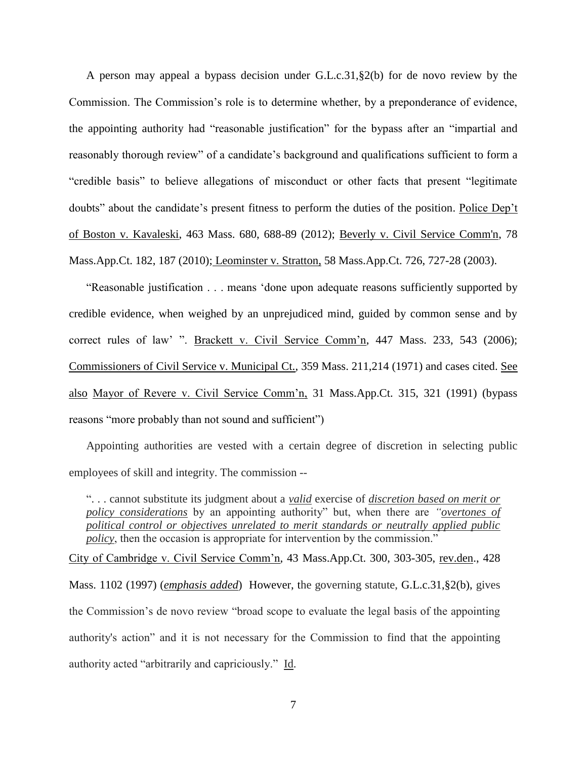A person may appeal a bypass decision under G.L.c.31,§2(b) for de novo review by the Commission. The Commission's role is to determine whether, by a preponderance of evidence, the appointing authority had "reasonable justification" for the bypass after an "impartial and reasonably thorough review" of a candidate's background and qualifications sufficient to form a "credible basis" to believe allegations of misconduct or other facts that present "legitimate doubts" about the candidate's present fitness to perform the duties of the position. Police Dep't of Boston v. Kavaleski, 463 Mass. 680, 688-89 (2012); [Beverly v. Civil Service Comm'n, 78](http://web2.westlaw.com/find/default.wl?mt=Massachusetts&db=578&rs=WLW15.04&tc=-1&rp=%2ffind%2fdefault.wl&findtype=Y&ordoc=2029136022&serialnum=2023501172&vr=2.0&fn=_top&sv=Split&tf=-1&pbc=70F732C1&utid=1)  [Mass.App.Ct. 182, 187 \(2010\);](http://web2.westlaw.com/find/default.wl?mt=Massachusetts&db=578&rs=WLW15.04&tc=-1&rp=%2ffind%2fdefault.wl&findtype=Y&ordoc=2029136022&serialnum=2023501172&vr=2.0&fn=_top&sv=Split&tf=-1&pbc=70F732C1&utid=1) Leominster v. Stratton, 58 Mass.App.Ct. 726, 727-28 (2003).

"Reasonable justification . . . means 'done upon adequate reasons sufficiently supported by credible evidence, when weighed by an unprejudiced mind, guided by common sense and by correct rules of law' ". Brackett v. Civil Service Comm'n, 447 Mass. 233, 543 (2006); Commissioners of Civil Service v. Municipal Ct., 359 Mass. 211,214 (1971) and cases cited. See also Mayor of Revere v. Civil Service Comm'n, 31 Mass.App.Ct. 315, 321 (1991) (bypass reasons "more probably than not sound and sufficient")

Appointing authorities are vested with a certain degree of discretion in selecting public employees of skill and integrity. The commission --

". . . cannot substitute its judgment about a *valid* exercise of *discretion based on merit or policy considerations* by an appointing authority" but, when there are *"overtones of political control or objectives unrelated to merit standards or neutrally applied public policy*, then the occasion is appropriate for intervention by the commission."

City of Cambridge v. Civil Service Comm'n, 43 Mass.App.Ct. 300, 303-305, rev.den., 428 Mass. 1102 (1997) (*emphasis added*) However, the governing statute, [G.L.c.31,§2\(b\),](https://1.next.westlaw.com/Link/Document/FullText?findType=L&pubNum=1000042&cite=MAST31S2&originatingDoc=Ib21af0ded3bd11d99439b076ef9ec4de&refType=LQ&originationContext=document&transitionType=DocumentItem&contextData=(sc.History*oc.UserEnteredCitation)) gives the Commission's de novo review "broad scope to evaluate the legal basis of the appointing authority's action" and it is not necessary for the Commission to find that the appointing authority acted "arbitrarily and capriciously." Id.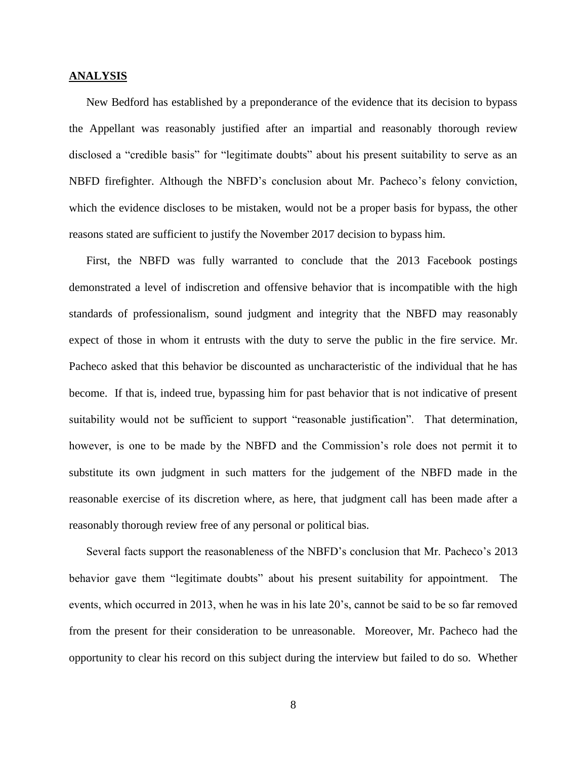#### **ANALYSIS**

New Bedford has established by a preponderance of the evidence that its decision to bypass the Appellant was reasonably justified after an impartial and reasonably thorough review disclosed a "credible basis" for "legitimate doubts" about his present suitability to serve as an NBFD firefighter. Although the NBFD's conclusion about Mr. Pacheco's felony conviction, which the evidence discloses to be mistaken, would not be a proper basis for bypass, the other reasons stated are sufficient to justify the November 2017 decision to bypass him.

First, the NBFD was fully warranted to conclude that the 2013 Facebook postings demonstrated a level of indiscretion and offensive behavior that is incompatible with the high standards of professionalism, sound judgment and integrity that the NBFD may reasonably expect of those in whom it entrusts with the duty to serve the public in the fire service. Mr. Pacheco asked that this behavior be discounted as uncharacteristic of the individual that he has become. If that is, indeed true, bypassing him for past behavior that is not indicative of present suitability would not be sufficient to support "reasonable justification". That determination, however, is one to be made by the NBFD and the Commission's role does not permit it to substitute its own judgment in such matters for the judgement of the NBFD made in the reasonable exercise of its discretion where, as here, that judgment call has been made after a reasonably thorough review free of any personal or political bias.

Several facts support the reasonableness of the NBFD's conclusion that Mr. Pacheco's 2013 behavior gave them "legitimate doubts" about his present suitability for appointment. The events, which occurred in 2013, when he was in his late 20's, cannot be said to be so far removed from the present for their consideration to be unreasonable. Moreover, Mr. Pacheco had the opportunity to clear his record on this subject during the interview but failed to do so. Whether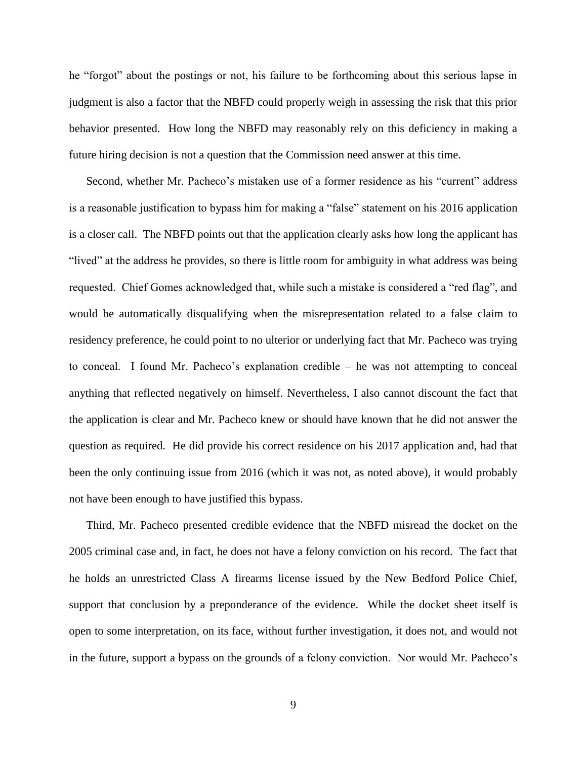he "forgot" about the postings or not, his failure to be forthcoming about this serious lapse in judgment is also a factor that the NBFD could properly weigh in assessing the risk that this prior behavior presented. How long the NBFD may reasonably rely on this deficiency in making a future hiring decision is not a question that the Commission need answer at this time.

Second, whether Mr. Pacheco's mistaken use of a former residence as his "current" address is a reasonable justification to bypass him for making a "false" statement on his 2016 application is a closer call. The NBFD points out that the application clearly asks how long the applicant has "lived" at the address he provides, so there is little room for ambiguity in what address was being requested. Chief Gomes acknowledged that, while such a mistake is considered a "red flag", and would be automatically disqualifying when the misrepresentation related to a false claim to residency preference, he could point to no ulterior or underlying fact that Mr. Pacheco was trying to conceal. I found Mr. Pacheco's explanation credible – he was not attempting to conceal anything that reflected negatively on himself. Nevertheless, I also cannot discount the fact that the application is clear and Mr. Pacheco knew or should have known that he did not answer the question as required. He did provide his correct residence on his 2017 application and, had that been the only continuing issue from 2016 (which it was not, as noted above), it would probably not have been enough to have justified this bypass.

Third, Mr. Pacheco presented credible evidence that the NBFD misread the docket on the 2005 criminal case and, in fact, he does not have a felony conviction on his record. The fact that he holds an unrestricted Class A firearms license issued by the New Bedford Police Chief, support that conclusion by a preponderance of the evidence. While the docket sheet itself is open to some interpretation, on its face, without further investigation, it does not, and would not in the future, support a bypass on the grounds of a felony conviction. Nor would Mr. Pacheco's